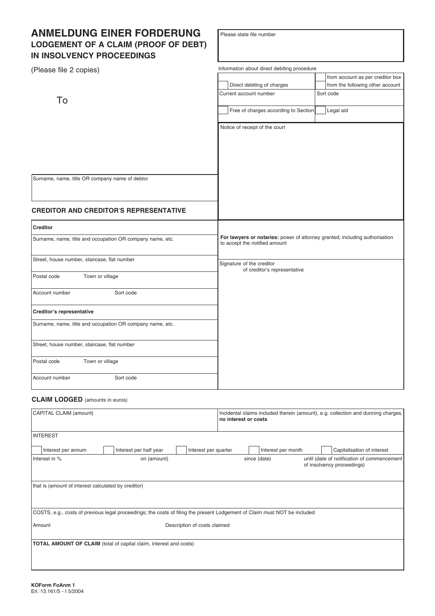# **ANMELDUNG EINER FORDERUNG LODGEMENT OF A CLAIM (PROOF OF DEBT) IN INSOLVENCY PROCEEDINGS**

| (Please file 2 copies)                                    | Information about direct debiting procedure                                                                  |                                  |  |
|-----------------------------------------------------------|--------------------------------------------------------------------------------------------------------------|----------------------------------|--|
|                                                           |                                                                                                              | from account as per creditor box |  |
|                                                           | Direct debiting of charges                                                                                   | from the following other account |  |
| To                                                        | Current account number                                                                                       | Sort code                        |  |
|                                                           | Free of charges according to Section                                                                         | Legal aid                        |  |
|                                                           | Notice of receipt of the court                                                                               |                                  |  |
|                                                           |                                                                                                              |                                  |  |
|                                                           |                                                                                                              |                                  |  |
| Surname, name, title OR company name of debtor            |                                                                                                              |                                  |  |
| <b>CREDITOR AND CREDITOR'S REPRESENTATIVE</b>             |                                                                                                              |                                  |  |
| <b>Creditor</b>                                           |                                                                                                              |                                  |  |
| Surname, name, title and occupation OR company name, etc. | For lawyers or notaries: power of attorney granted; including authorisation<br>to accept the notified amount |                                  |  |
| Street, house number, staircase, flat number              | Signature of the creditor<br>of creditor's representative                                                    |                                  |  |
| Postal code<br>Town or village                            |                                                                                                              |                                  |  |
| Sort code<br>Account number                               |                                                                                                              |                                  |  |
| Creditor's representative                                 |                                                                                                              |                                  |  |
| Surname, name, title and occupation OR company name, etc. |                                                                                                              |                                  |  |
| Street, house number, staircase, flat number              |                                                                                                              |                                  |  |
| Town or village<br>Postal code                            |                                                                                                              |                                  |  |
| Account number<br>Sort code                               |                                                                                                              |                                  |  |

# **CLAIM LODGED** (amounts in euros)

| CAPITAL CLAIM (amount)                                                                                                    |                                                                           |                      | no interest or costs |                    | Incidental claims included therein (amount), e.g. collection and dunning charges, |
|---------------------------------------------------------------------------------------------------------------------------|---------------------------------------------------------------------------|----------------------|----------------------|--------------------|-----------------------------------------------------------------------------------|
| <b>INTEREST</b>                                                                                                           |                                                                           |                      |                      |                    |                                                                                   |
| Interest per annum                                                                                                        | Interest per half year                                                    | Interest per quarter |                      | Interest per month | Capitalisation of interest                                                        |
| Interest in %                                                                                                             | on (amount)                                                               |                      | since (date)         |                    | until (date of notification of commencement<br>of insolvency proceedings)         |
| that is (amount of interest calculated by creditor)                                                                       |                                                                           |                      |                      |                    |                                                                                   |
| COSTS, e.g., costs of previous legal proceedings; the costs of filing the present Lodgement of Claim must NOT be included |                                                                           |                      |                      |                    |                                                                                   |
| Description of costs claimed<br>Amount                                                                                    |                                                                           |                      |                      |                    |                                                                                   |
|                                                                                                                           | <b>TOTAL AMOUNT OF CLAIM</b> (total of capital claim, interest and costs) |                      |                      |                    |                                                                                   |

Please state file number